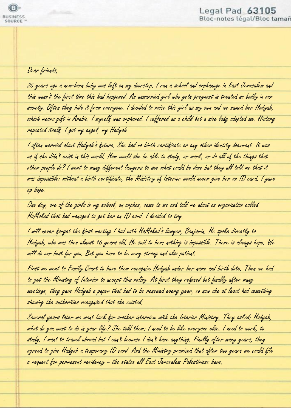## Dear friends,

26 years ago a new-born baby was left on my doorstep. I run a school and orphanage in East Jerusalem and this wasn't the first time this had happened. An unmarried girl who gets pregnant is treated so badly in our society. Often they hide it from everyone. I decided to raise this girl as my own and we named her Hadyah, which means gift in Arabic. I myself was orphaned. I suffered as a child but a nice lady adopted me. History repeated itself. I got my angel, my Hadyah.

I often worried about Hadyah's future. She had no birth certificate or any other identity document. It was as if she didn't exist in this world. How would she be able to study, or work, or do all of the things that other people do? I went to many different lawyers to see what could be done but they all told me that it was impossible: without a birth certificate, the Ministry of Interior would never give her an ID card. I gave up hope.

One day, one of the girls in my school, an orphan, came to me and told me about an organization called HaMoked that had managed to get her an ID card. I decided to try.

I will never forget the first meeting I had with HaMoked's lawyer, Benjamin. He spoke directly to Hadyah, who was then almost 16 years old. He said to her: nothing is impossible. There is always hope. We will do our best for you. But you have to be very strong and also patient.

First we went to Family Court to have them recognize Hadyah under her name and birth date. Then we had to get the Ministry of Interior to accept this ruling. At first they refused but finally after many meetings, they gave Hadyah a paper that had to be renewed every year, so now she at least had something showing the authorities recognized that she existed.

Several years later we went back for another interview with the Interior Ministry. They asked: Hadyah, what do you want to do in your life? She told them: I need to be like everyone else. I need to work, to study. I want to travel abroad but I can't because I don't have anything. Finally after many years, they agreed to give Hadyah a temporary ID card. And the Ministry promised that after two years we could file a request for permanent residency – the status all East Jerusalem Palestinians have.